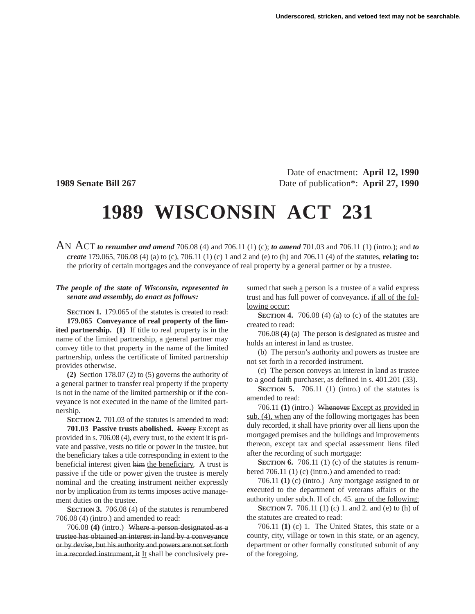Date of enactment: **April 12, 1990 1989 Senate Bill 267** Date of publication<sup>\*</sup>: **April 27, 1990** 

## **1989 WISCONSIN ACT 231**

AN ACT *to renumber and amend* 706.08 (4) and 706.11 (1) (c); *to amend* 701.03 and 706.11 (1) (intro.); and *to create* 179.065, 706.08 (4) (a) to (c), 706.11 (1) (c) 1 and 2 and (e) to (h) and 706.11 (4) of the statutes, **relating to:** the priority of certain mortgages and the conveyance of real property by a general partner or by a trustee.

## *The people of the state of Wisconsin, represented in senate and assembly, do enact as follows:*

**SECTION 1.** 179.065 of the statutes is created to read: **179.065 Conveyance of real property of the limited partnership. (1)** If title to real property is in the name of the limited partnership, a general partner may convey title to that property in the name of the limited partnership, unless the certificate of limited partnership

provides otherwise. **(2)** Section 178.07 (2) to (5) governs the authority of a general partner to transfer real property if the property is not in the name of the limited partnership or if the conveyance is not executed in the name of the limited partnership.

**SECTION 2.** 701.03 of the statutes is amended to read: **701.03 Passive trusts abolished.** Every Except as provided in s. 706.08 (4), every trust, to the extent it is private and passive, vests no title or power in the trustee, but the beneficiary takes a title corresponding in extent to the beneficial interest given him the beneficiary. A trust is passive if the title or power given the trustee is merely nominal and the creating instrument neither expressly nor by implication from its terms imposes active management duties on the trustee.

**SECTION 3.** 706.08 (4) of the statutes is renumbered 706.08 (4) (intro.) and amended to read:

706.08 **(4)** (intro.) Where a person designated as a trustee has obtained an interest in land by a conveyance or by devise, but his authority and powers are not set forth in a recorded instrument, it It shall be conclusively pre-

sumed that such a person is a trustee of a valid express trust and has full power of conveyance. if all of the following occur:

**SECTION 4.** 706.08 (4) (a) to (c) of the statutes are created to read:

706.08 **(4)** (a) The person is designated as trustee and holds an interest in land as trustee.

(b) The person's authority and powers as trustee are not set forth in a recorded instrument.

(c) The person conveys an interest in land as trustee to a good faith purchaser, as defined in s. 401.201 (33).

**SECTION 5.** 706.11 (1) (intro.) of the statutes is amended to read:

706.11 **(1)** (intro.) Whenever Except as provided in sub. (4), when any of the following mortgages has been duly recorded, it shall have priority over all liens upon the mortgaged premises and the buildings and improvements thereon, except tax and special assessment liens filed after the recording of such mortgage:

**SECTION 6.** 706.11 (1) (c) of the statutes is renumbered 706.11 (1) (c) (intro.) and amended to read:

706.11 **(1)** (c) (intro.) Any mortgage assigned to or executed to the department of veterans affairs or the authority under subch. II of ch. 45. any of the following:

**SECTION 7.** 706.11 (1) (c) 1. and 2. and (e) to (h) of the statutes are created to read:

706.11 **(1)** (c) 1. The United States, this state or a county, city, village or town in this state, or an agency, department or other formally constituted subunit of any of the foregoing.